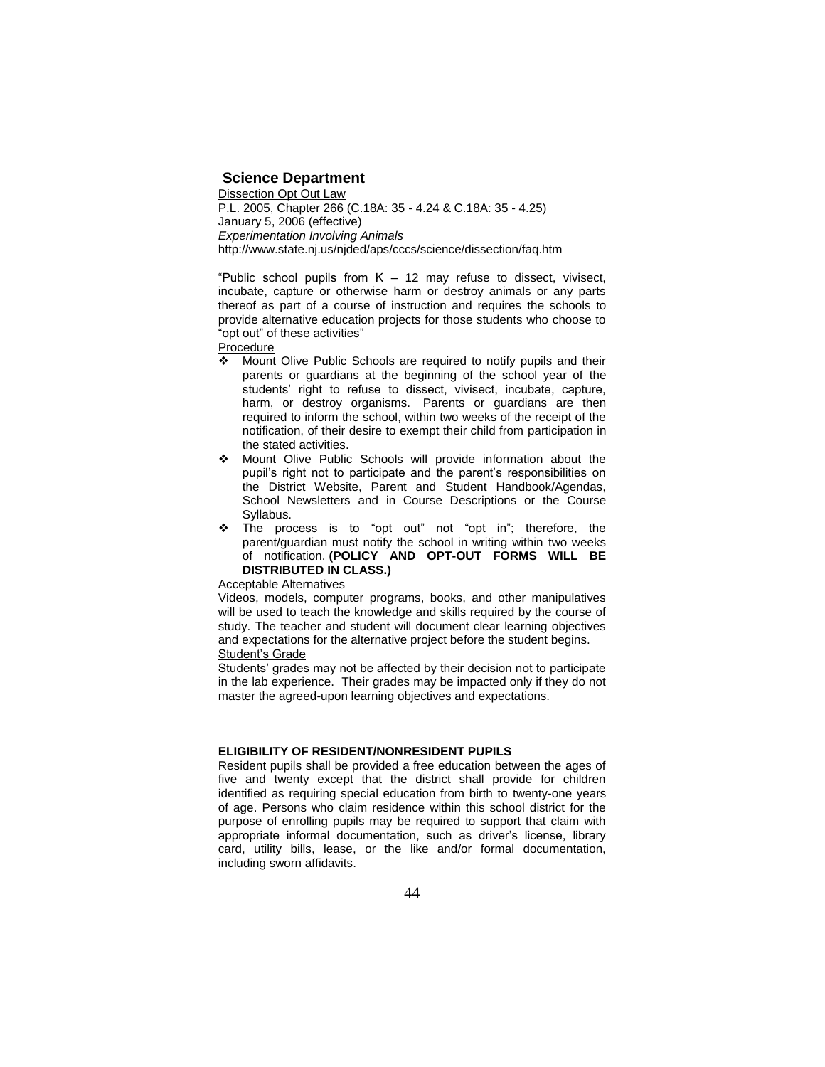# **Science Department**

Dissection Opt Out Law P.L. 2005, Chapter 266 (C.18A: 35 - 4.24 & C.18A: 35 - 4.25) January 5, 2006 (effective) *Experimentation Involving Animals* http://www.state.nj.us/njded/aps/cccs/science/dissection/faq.htm

"Public school pupils from  $K - 12$  may refuse to dissect, vivisect, incubate, capture or otherwise harm or destroy animals or any parts thereof as part of a course of instruction and requires the schools to provide alternative education projects for those students who choose to "opt out" of these activities"

Procedure

- ◆ Mount Olive Public Schools are required to notify pupils and their parents or guardians at the beginning of the school year of the students' right to refuse to dissect, vivisect, incubate, capture, harm, or destroy organisms. Parents or guardians are then required to inform the school, within two weeks of the receipt of the notification, of their desire to exempt their child from participation in the stated activities.
- Mount Olive Public Schools will provide information about the pupil's right not to participate and the parent's responsibilities on the District Website, Parent and Student Handbook/Agendas, School Newsletters and in Course Descriptions or the Course Syllabus.
- \* The process is to "opt out" not "opt in"; therefore, the parent/guardian must notify the school in writing within two weeks of notification. **(POLICY AND OPT-OUT FORMS WILL BE DISTRIBUTED IN CLASS.)**

## Acceptable Alternatives

Videos, models, computer programs, books, and other manipulatives will be used to teach the knowledge and skills required by the course of study. The teacher and student will document clear learning objectives and expectations for the alternative project before the student begins. Student's Grade

Students' grades may not be affected by their decision not to participate in the lab experience. Their grades may be impacted only if they do not master the agreed-upon learning objectives and expectations.

#### **ELIGIBILITY OF RESIDENT/NONRESIDENT PUPILS**

Resident pupils shall be provided a free education between the ages of five and twenty except that the district shall provide for children identified as requiring special education from birth to twenty-one years of age. Persons who claim residence within this school district for the purpose of enrolling pupils may be required to support that claim with appropriate informal documentation, such as driver's license, library card, utility bills, lease, or the like and/or formal documentation, including sworn affidavits.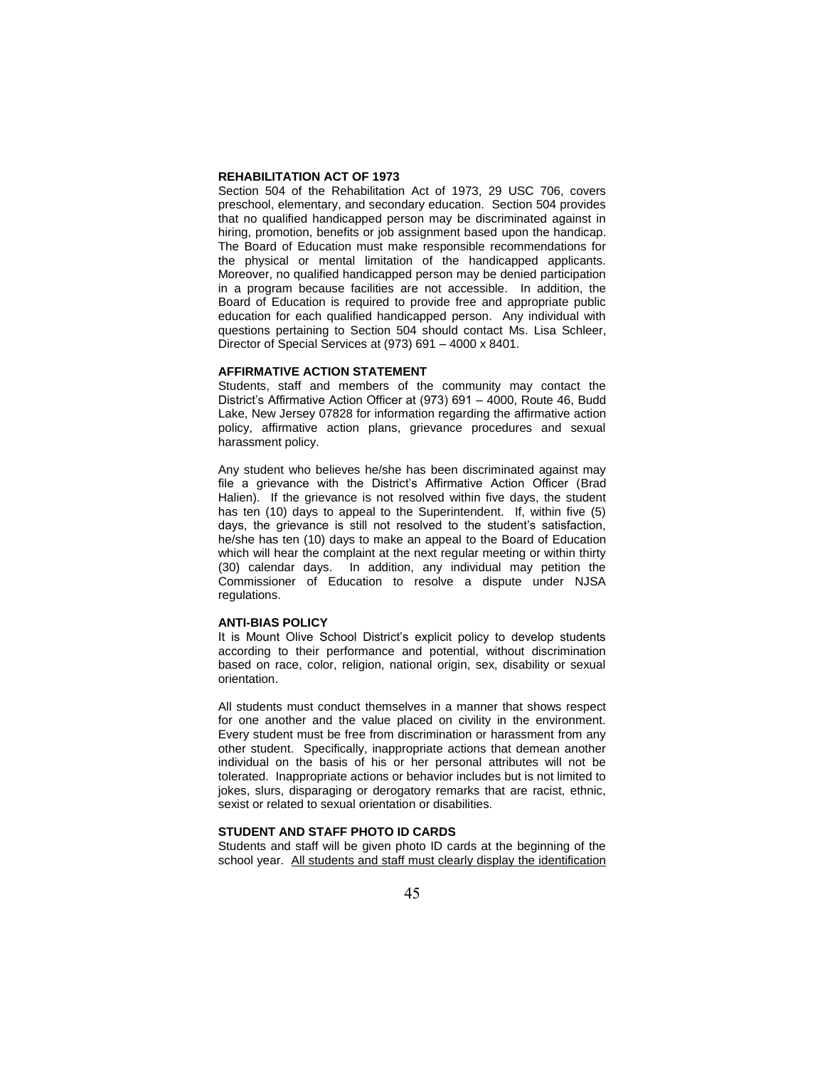#### **REHABILITATION ACT OF 1973**

Section 504 of the Rehabilitation Act of 1973, 29 USC 706, covers preschool, elementary, and secondary education. Section 504 provides that no qualified handicapped person may be discriminated against in hiring, promotion, benefits or job assignment based upon the handicap. The Board of Education must make responsible recommendations for the physical or mental limitation of the handicapped applicants. Moreover, no qualified handicapped person may be denied participation in a program because facilities are not accessible. In addition, the Board of Education is required to provide free and appropriate public education for each qualified handicapped person. Any individual with questions pertaining to Section 504 should contact Ms. Lisa Schleer, Director of Special Services at (973) 691 – 4000 x 8401.

## **AFFIRMATIVE ACTION STATEMENT**

Students, staff and members of the community may contact the District's Affirmative Action Officer at (973) 691 – 4000, Route 46, Budd Lake, New Jersey 07828 for information regarding the affirmative action policy, affirmative action plans, grievance procedures and sexual harassment policy.

Any student who believes he/she has been discriminated against may file a grievance with the District's Affirmative Action Officer (Brad Halien). If the grievance is not resolved within five days, the student has ten (10) days to appeal to the Superintendent. If, within five (5) days, the grievance is still not resolved to the student's satisfaction, he/she has ten (10) days to make an appeal to the Board of Education which will hear the complaint at the next regular meeting or within thirty (30) calendar days. In addition, any individual may petition the Commissioner of Education to resolve a dispute under NJSA regulations.

### **ANTI-BIAS POLICY**

It is Mount Olive School District's explicit policy to develop students according to their performance and potential, without discrimination based on race, color, religion, national origin, sex, disability or sexual orientation.

All students must conduct themselves in a manner that shows respect for one another and the value placed on civility in the environment. Every student must be free from discrimination or harassment from any other student. Specifically, inappropriate actions that demean another individual on the basis of his or her personal attributes will not be tolerated. Inappropriate actions or behavior includes but is not limited to jokes, slurs, disparaging or derogatory remarks that are racist, ethnic, sexist or related to sexual orientation or disabilities.

## **STUDENT AND STAFF PHOTO ID CARDS**

Students and staff will be given photo ID cards at the beginning of the school year. All students and staff must clearly display the identification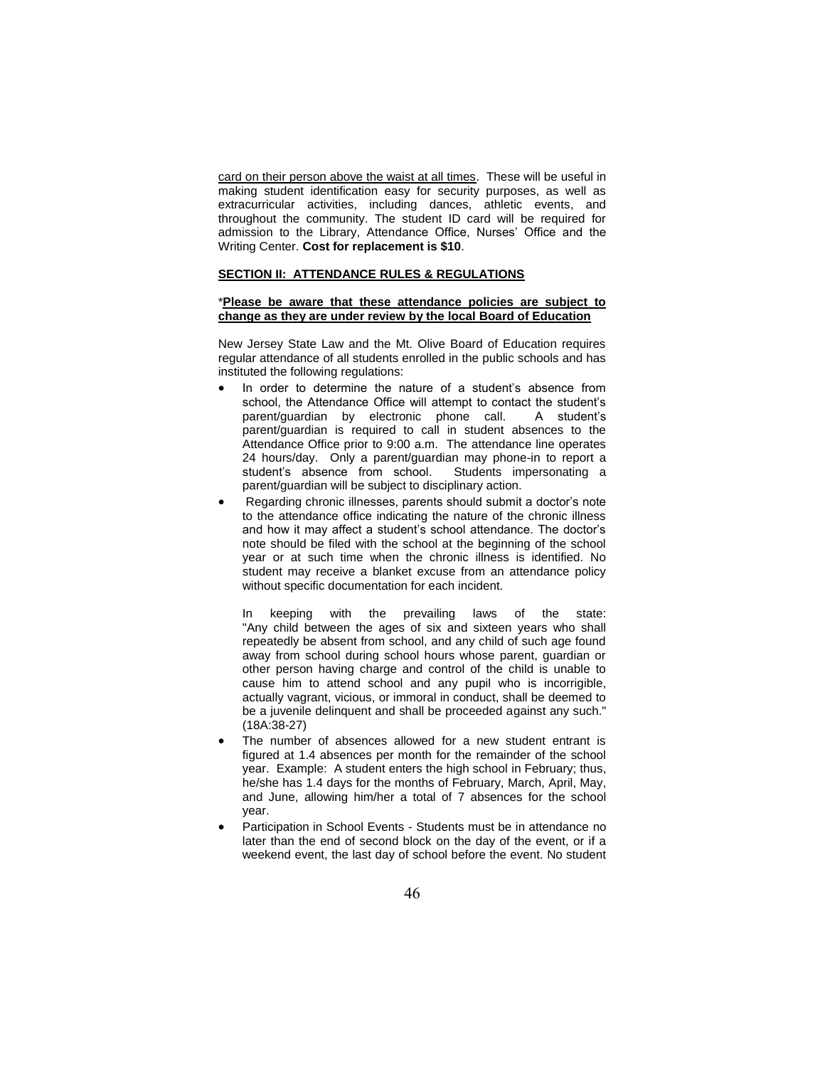card on their person above the waist at all times. These will be useful in making student identification easy for security purposes, as well as extracurricular activities, including dances, athletic events, and throughout the community. The student ID card will be required for admission to the Library, Attendance Office, Nurses' Office and the Writing Center. **Cost for replacement is \$10**.

### **SECTION II: ATTENDANCE RULES & REGULATIONS**

### \***Please be aware that these attendance policies are subject to change as they are under review by the local Board of Education**

New Jersey State Law and the Mt. Olive Board of Education requires regular attendance of all students enrolled in the public schools and has instituted the following regulations:

- In order to determine the nature of a student's absence from school, the Attendance Office will attempt to contact the student's parent/guardian by electronic phone call. A student's parent/guardian is required to call in student absences to the Attendance Office prior to 9:00 a.m. The attendance line operates 24 hours/day. Only a parent/guardian may phone-in to report a student's absence from school. Students impersonating a parent/guardian will be subject to disciplinary action.
- Regarding chronic illnesses, parents should submit a doctor's note to the attendance office indicating the nature of the chronic illness and how it may affect a student's school attendance. The doctor's note should be filed with the school at the beginning of the school year or at such time when the chronic illness is identified. No student may receive a blanket excuse from an attendance policy without specific documentation for each incident.

In keeping with the prevailing laws of the state: "Any child between the ages of six and sixteen years who shall repeatedly be absent from school, and any child of such age found away from school during school hours whose parent, guardian or other person having charge and control of the child is unable to cause him to attend school and any pupil who is incorrigible, actually vagrant, vicious, or immoral in conduct, shall be deemed to be a juvenile delinquent and shall be proceeded against any such." (18A:38-27)

- The number of absences allowed for a new student entrant is figured at 1.4 absences per month for the remainder of the school year. Example: A student enters the high school in February; thus, he/she has 1.4 days for the months of February, March, April, May, and June, allowing him/her a total of 7 absences for the school year.
- Participation in School Events Students must be in attendance no later than the end of second block on the day of the event, or if a weekend event, the last day of school before the event. No student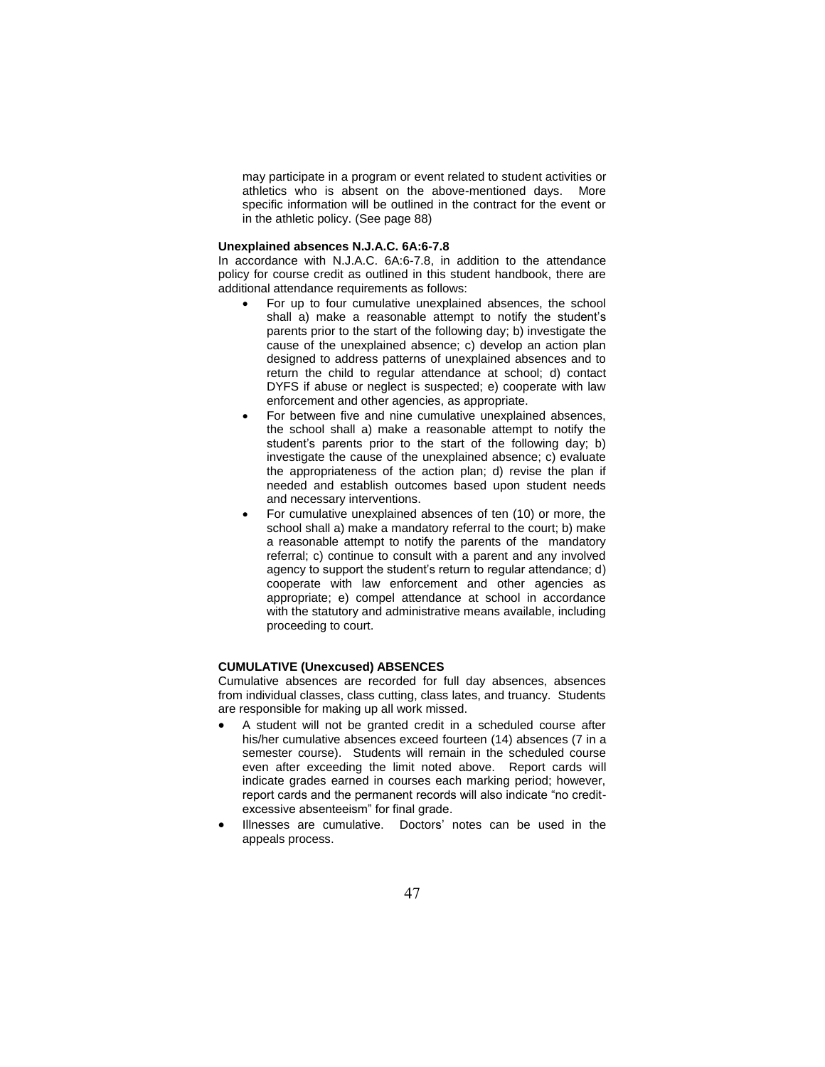may participate in a program or event related to student activities or athletics who is absent on the above-mentioned days. More specific information will be outlined in the contract for the event or in the athletic policy. (See page 88)

#### **Unexplained absences N.J.A.C. 6A:6-7.8**

In accordance with N.J.A.C. 6A:6-7.8, in addition to the attendance policy for course credit as outlined in this student handbook, there are additional attendance requirements as follows:

- For up to four cumulative unexplained absences, the school shall a) make a reasonable attempt to notify the student's parents prior to the start of the following day; b) investigate the cause of the unexplained absence; c) develop an action plan designed to address patterns of unexplained absences and to return the child to regular attendance at school; d) contact DYFS if abuse or neglect is suspected; e) cooperate with law enforcement and other agencies, as appropriate.
- For between five and nine cumulative unexplained absences, the school shall a) make a reasonable attempt to notify the student's parents prior to the start of the following day; b) investigate the cause of the unexplained absence; c) evaluate the appropriateness of the action plan; d) revise the plan if needed and establish outcomes based upon student needs and necessary interventions.
- For cumulative unexplained absences of ten (10) or more, the school shall a) make a mandatory referral to the court; b) make a reasonable attempt to notify the parents of the mandatory referral; c) continue to consult with a parent and any involved agency to support the student's return to regular attendance; d) cooperate with law enforcement and other agencies as appropriate; e) compel attendance at school in accordance with the statutory and administrative means available, including proceeding to court.

## **CUMULATIVE (Unexcused) ABSENCES**

Cumulative absences are recorded for full day absences, absences from individual classes, class cutting, class lates, and truancy. Students are responsible for making up all work missed.

- A student will not be granted credit in a scheduled course after his/her cumulative absences exceed fourteen (14) absences (7 in a semester course). Students will remain in the scheduled course even after exceeding the limit noted above. Report cards will indicate grades earned in courses each marking period; however, report cards and the permanent records will also indicate "no creditexcessive absenteeism" for final grade.
- Illnesses are cumulative. Doctors' notes can be used in the appeals process.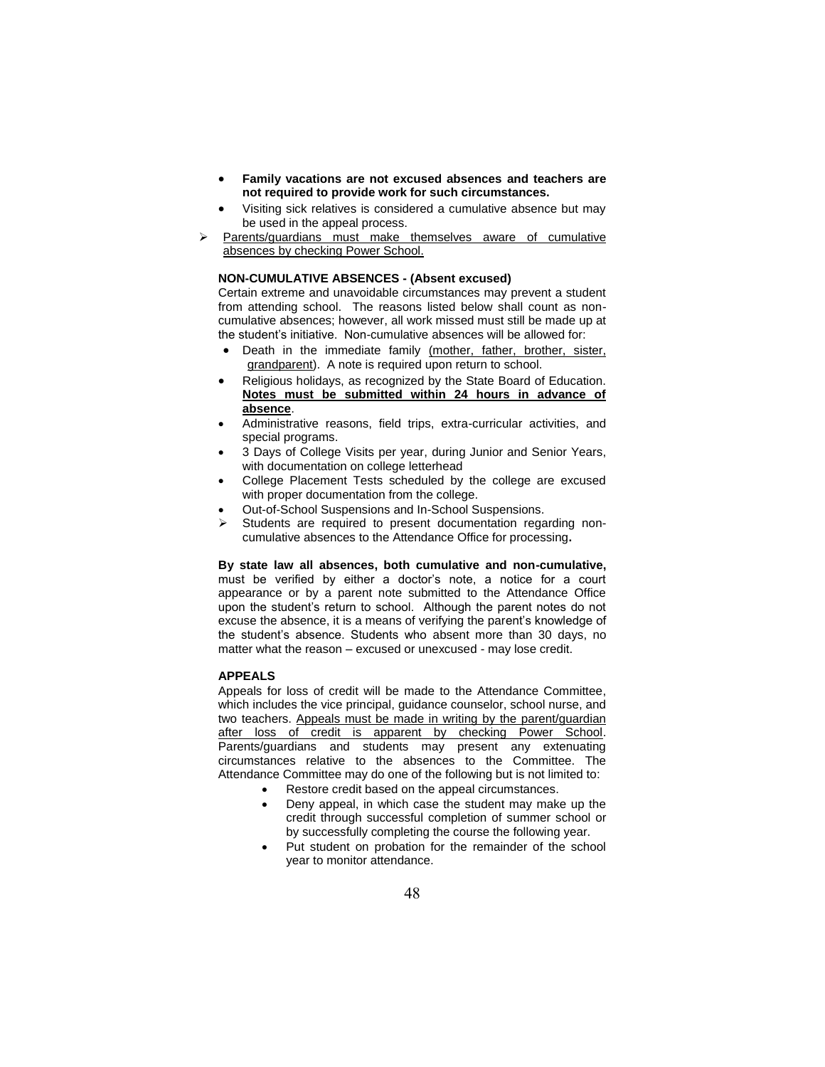- **Family vacations are not excused absences and teachers are not required to provide work for such circumstances.**
- Visiting sick relatives is considered a cumulative absence but may be used in the appeal process.
- Parents/guardians must make themselves aware of cumulative absences by checking Power School.

### **NON-CUMULATIVE ABSENCES - (Absent excused)**

Certain extreme and unavoidable circumstances may prevent a student from attending school. The reasons listed below shall count as noncumulative absences; however, all work missed must still be made up at the student's initiative. Non-cumulative absences will be allowed for:

- Death in the immediate family (mother, father, brother, sister, grandparent). A note is required upon return to school.
- Religious holidays, as recognized by the State Board of Education. **Notes must be submitted within 24 hours in advance of absence**.
- Administrative reasons, field trips, extra-curricular activities, and special programs.
- 3 Days of College Visits per year, during Junior and Senior Years, with documentation on college letterhead
- College Placement Tests scheduled by the college are excused with proper documentation from the college.
- Out-of-School Suspensions and In-School Suspensions.
- Students are required to present documentation regarding noncumulative absences to the Attendance Office for processing**.**

**By state law all absences, both cumulative and non-cumulative,**  must be verified by either a doctor's note, a notice for a court appearance or by a parent note submitted to the Attendance Office upon the student's return to school. Although the parent notes do not excuse the absence, it is a means of verifying the parent's knowledge of the student's absence. Students who absent more than 30 days, no matter what the reason – excused or unexcused - may lose credit.

#### **APPEALS**

Appeals for loss of credit will be made to the Attendance Committee, which includes the vice principal, guidance counselor, school nurse, and two teachers. Appeals must be made in writing by the parent/guardian after loss of credit is apparent by checking Power School. Parents/guardians and students may present any extenuating circumstances relative to the absences to the Committee. The Attendance Committee may do one of the following but is not limited to:

- Restore credit based on the appeal circumstances.
- Deny appeal, in which case the student may make up the credit through successful completion of summer school or by successfully completing the course the following year.
- Put student on probation for the remainder of the school year to monitor attendance.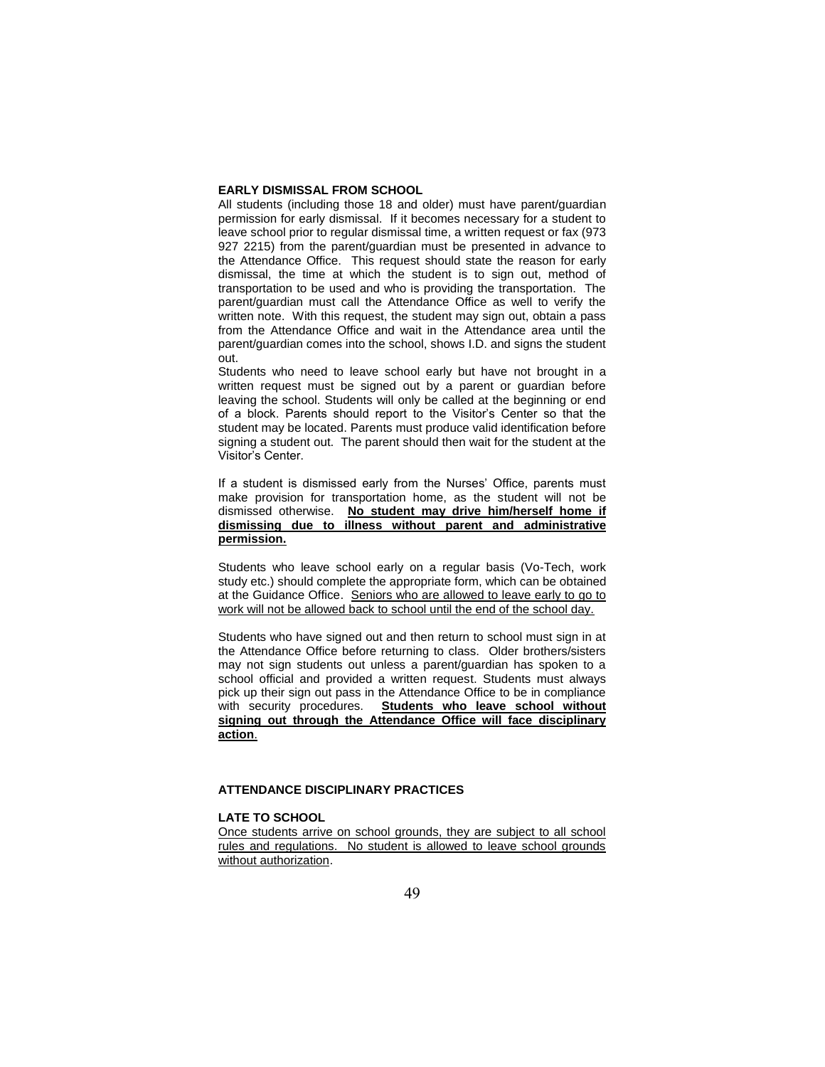#### **EARLY DISMISSAL FROM SCHOOL**

All students (including those 18 and older) must have parent/guardian permission for early dismissal. If it becomes necessary for a student to leave school prior to regular dismissal time, a written request or fax (973 927 2215) from the parent/guardian must be presented in advance to the Attendance Office. This request should state the reason for early dismissal, the time at which the student is to sign out, method of transportation to be used and who is providing the transportation. The parent/guardian must call the Attendance Office as well to verify the written note. With this request, the student may sign out, obtain a pass from the Attendance Office and wait in the Attendance area until the parent/guardian comes into the school, shows I.D. and signs the student out.

Students who need to leave school early but have not brought in a written request must be signed out by a parent or guardian before leaving the school. Students will only be called at the beginning or end of a block. Parents should report to the Visitor's Center so that the student may be located. Parents must produce valid identification before signing a student out. The parent should then wait for the student at the Visitor's Center.

If a student is dismissed early from the Nurses' Office, parents must make provision for transportation home, as the student will not be dismissed otherwise. **No student may drive him/herself home if dismissing due to illness without parent and administrative permission.**

Students who leave school early on a regular basis (Vo-Tech, work study etc.) should complete the appropriate form, which can be obtained at the Guidance Office. Seniors who are allowed to leave early to go to work will not be allowed back to school until the end of the school day.

Students who have signed out and then return to school must sign in at the Attendance Office before returning to class. Older brothers/sisters may not sign students out unless a parent/guardian has spoken to a school official and provided a written request. Students must always pick up their sign out pass in the Attendance Office to be in compliance with security procedures. **Students who leave school without signing out through the Attendance Office will face disciplinary action**.

#### **ATTENDANCE DISCIPLINARY PRACTICES**

### **LATE TO SCHOOL**

Once students arrive on school grounds, they are subject to all school rules and regulations. No student is allowed to leave school grounds without authorization.